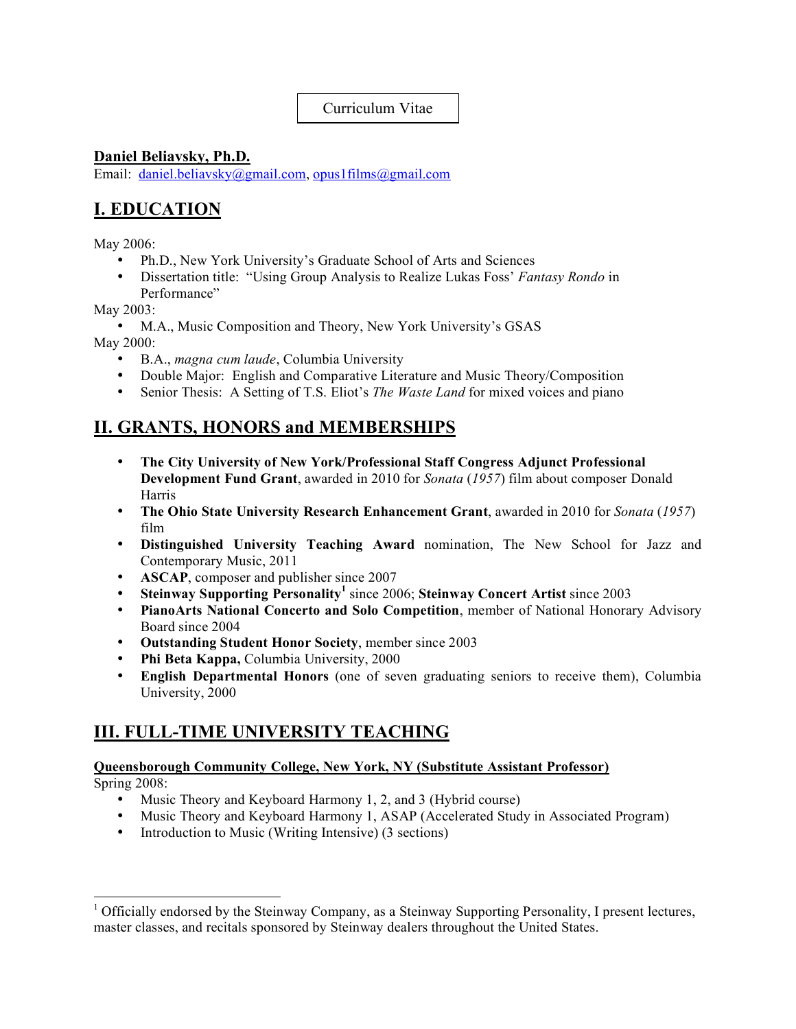### Curriculum Vitae

### **Daniel Beliavsky, Ph.D.**

Email: daniel.beliavsky@gmail.com, opus1films@gmail.com

# **I. EDUCATION**

May 2006:

- Ph.D., New York University's Graduate School of Arts and Sciences
- Dissertation title: "Using Group Analysis to Realize Lukas Foss' *Fantasy Rondo* in Performance"

May 2003:

• M.A., Music Composition and Theory, New York University's GSAS May 2000:

- B.A., *magna cum laude*, Columbia University
- Double Major: English and Comparative Literature and Music Theory/Composition
- Senior Thesis: A Setting of T.S. Eliot's *The Waste Land* for mixed voices and piano

# **II. GRANTS, HONORS and MEMBERSHIPS**

- **The City University of New York/Professional Staff Congress Adjunct Professional Development Fund Grant**, awarded in 2010 for *Sonata* (*1957*) film about composer Donald Harris
- **The Ohio State University Research Enhancement Grant**, awarded in 2010 for *Sonata* (*1957*) film
- **Distinguished University Teaching Award** nomination, The New School for Jazz and Contemporary Music, 2011
- **ASCAP**, composer and publisher since 2007
- **Steinway Supporting Personality<sup>1</sup>** since 2006; **Steinway Concert Artist** since 2003
- **PianoArts National Concerto and Solo Competition**, member of National Honorary Advisory Board since 2004
- **Outstanding Student Honor Society**, member since 2003
- **Phi Beta Kappa,** Columbia University, 2000
- **English Departmental Honors** (one of seven graduating seniors to receive them), Columbia University, 2000

# **III. FULL-TIME UNIVERSITY TEACHING**

#### **Queensborough Community College, New York, NY (Substitute Assistant Professor)**

Spring 2008:

- Music Theory and Keyboard Harmony 1, 2, and 3 (Hybrid course)
- Music Theory and Keyboard Harmony 1, ASAP (Accelerated Study in Associated Program)
- Introduction to Music (Writing Intensive) (3 sections)

<sup>&</sup>lt;sup>1</sup> Officially endorsed by the Steinway Company, as a Steinway Supporting Personality, I present lectures, master classes, and recitals sponsored by Steinway dealers throughout the United States.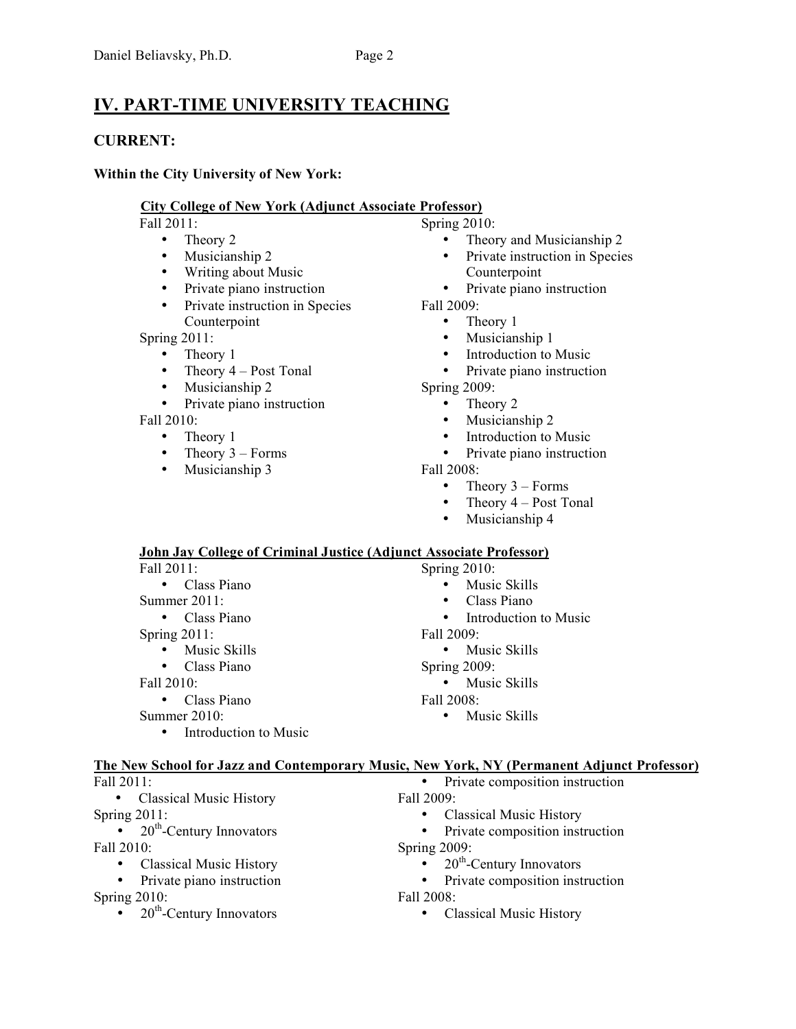# **IV. PART-TIME UNIVERSITY TEACHING**

### **CURRENT:**

#### **Within the City University of New York:**

#### **City College of New York (Adjunct Associate Professor)**

Fall 2011:

- Theory 2<br>• Musicians
- Musicianship 2
- Writing about Music
- Private piano instruction
- Private instruction in Species Counterpoint

Spring 2011:

- Theory 1
	- Theory  $4 Post$  Tonal
- Musicianship 2
- Private piano instruction

Fall 2010:

- Theory 1
- Theory  $3 -$  Forms
- Musicianship 3

Spring 2010:

- Theory and Musicianship 2
- Private instruction in Species Counterpoint
- Private piano instruction

Fall 2009:

- Theory 1
- Musicianship 1
- Introduction to Music<br>• Private piano instruction
- Private piano instruction
- Spring 2009:

• Theory 2

- Musicianship 2
- Introduction to Music
- Private piano instruction
- Fall 2008:
	- Theory  $3 -$  Forms
	- Theory  $4 -$  Post Tonal
	- Musicianship 4

#### **John Jay College of Criminal Justice (Adjunct Associate Professor)**

| Fall 2011:                         | Spring $2010$ :                    |
|------------------------------------|------------------------------------|
| Class Piano<br>$\bullet$           | Music Skills<br>$\bullet$          |
| Summer $2011$ :                    | Class Piano<br>$\bullet$           |
| Class Piano<br>$\bullet$           | Introduction to Music<br>$\bullet$ |
| Spring $2011$ :                    | Fall 2009:                         |
| Music Skills<br>$\bullet$          | Music Skills<br>$\bullet$          |
| Class Piano<br>$\bullet$           | Spring 2009:                       |
| Fall 2010:                         | Music Skills<br>$\bullet$          |
| Class Piano<br>$\bullet$           | Fall 2008:                         |
| Summer $2010$ :                    | Music Skills<br>$\bullet$          |
| Introduction to Music<br>$\bullet$ |                                    |
|                                    |                                    |

#### **The New School for Jazz and Contemporary Music, New York, NY (Permanent Adjunct Professor)**

| Fall 2011 |  |
|-----------|--|
|           |  |

• Classical Music History

Spring 2011:

- $20^{\text{th}}$ -Century Innovators Fall 2010:
	- Classical Music History
	- Private piano instruction

Spring 2010:

•  $20<sup>th</sup>$ -Century Innovators

- Private composition instruction
- Fall 2009:
	- Classical Music History
	- Private composition instruction
- Spring 2009:
	- $20^{th}$ -Century Innovators<br>• Private composition inst
	- Private composition instruction
- Fall 2008:
	- Classical Music History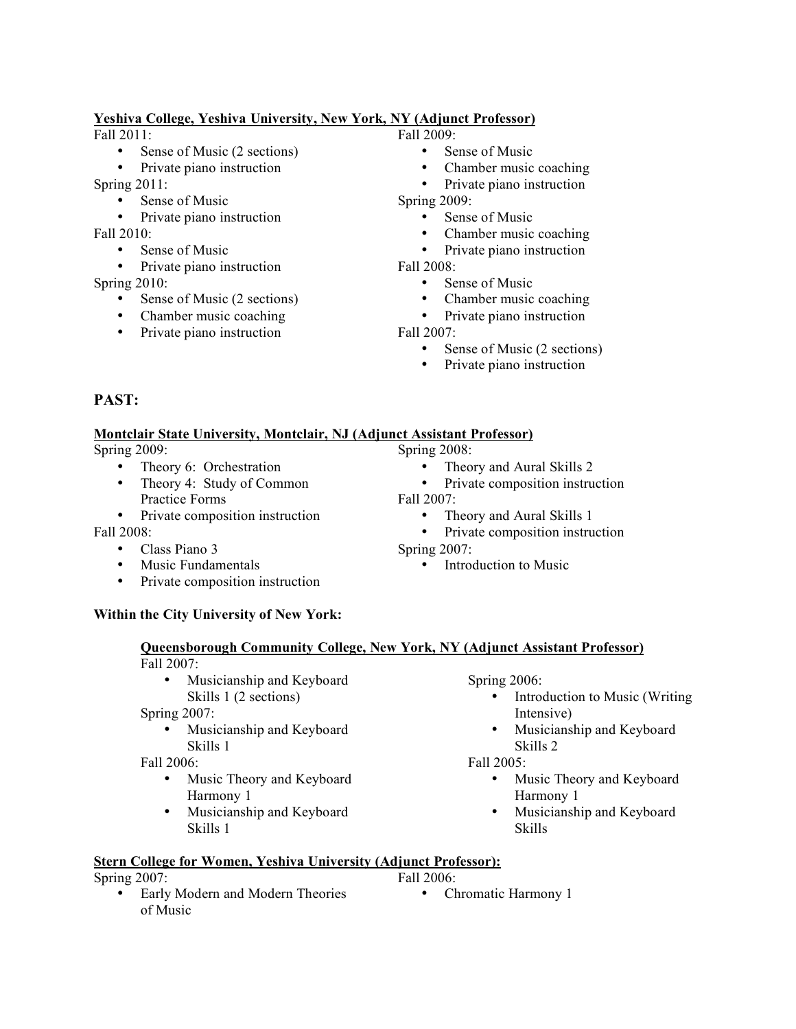#### **Yeshiva College, Yeshiva University, New York, NY (Adjunct Professor)**

Fall  $2011$ 

- Sense of Music (2 sections)
- Private piano instruction

Spring 2011:

- Sense of Music
- Private piano instruction

Fall 2010:

- Sense of Music
- Private piano instruction

Spring 2010:

- Sense of Music (2 sections)
- Chamber music coaching
- Private piano instruction
- Fall  $2009$ 
	- Sense of Music
	- Chamber music coaching
	- Private piano instruction

Spring 2009:

- Sense of Music
- Chamber music coaching<br>• Private piano instruction
- Private piano instruction

Fall 2008:

- Sense of Music
- Chamber music coaching
- Private piano instruction

Fall 2007:

Fall 2007:

Spring 2007:

- Sense of Music (2 sections)
- Private piano instruction

• Theory and Aural Skills 2 • Private composition instruction

• Theory and Aural Skills 1

• Introduction to Music

• Private composition instruction

### **PAST:**

#### **Montclair State University, Montclair, NJ (Adjunct Assistant Professor)** Spring 2008:

Spring 2009:

- Theory 6: Orchestration
- Theory 4: Study of Common Practice Forms
- Private composition instruction

Fall 2008:

- Class Piano 3
- Music Fundamentals
- Private composition instruction

### **Within the City University of New York:**

# **Queensborough Community College, New York, NY (Adjunct Assistant Professor)**

#### Fall 2007:

• Musicianship and Keyboard Skills 1 (2 sections)

Spring 2007:

• Musicianship and Keyboard Skills 1

Fall 2006:

- Music Theory and Keyboard Harmony 1
- Musicianship and Keyboard Skills 1

Spring 2006:

- Introduction to Music (Writing Intensive)
- Musicianship and Keyboard Skills 2

Fall 2005:

- Music Theory and Keyboard Harmony 1
- Musicianship and Keyboard Skills

### **Stern College for Women, Yeshiva University (Adjunct Professor):**

Spring 2007:

- Fall 2006:
- Early Modern and Modern Theories of Music • Chromatic Harmony 1
- -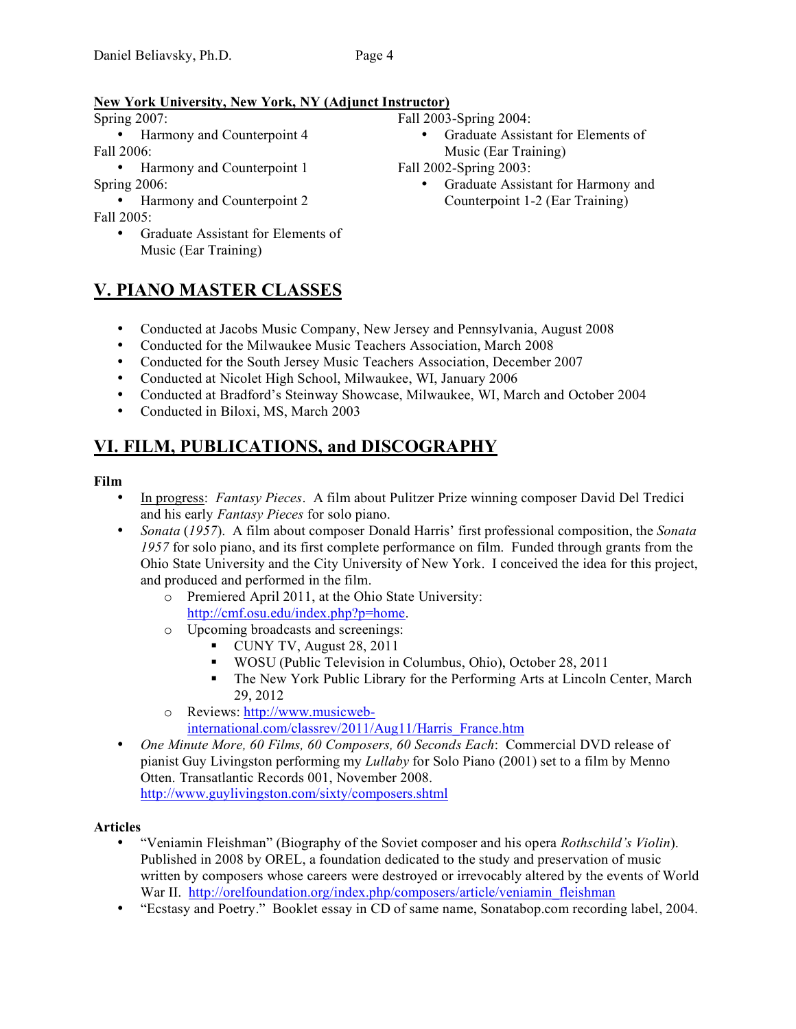#### **New York University, New York, NY (Adjunct Instructor)**

Spring 2007:

• Harmony and Counterpoint 4 Fall 2006:

• Harmony and Counterpoint 1 Spring 2006:

• Harmony and Counterpoint 2

Fall 2005:

• Graduate Assistant for Elements of Music (Ear Training)

**V. PIANO MASTER CLASSES**

### • Graduate Assistant for Elements of

Music (Ear Training)

#### Fall 2002-Spring 2003:

Fall 2003-Spring 2004:

- Graduate Assistant for Harmony and Counterpoint 1-2 (Ear Training)
- Conducted at Jacobs Music Company, New Jersey and Pennsylvania, August 2008
- Conducted for the Milwaukee Music Teachers Association, March 2008
- Conducted for the South Jersey Music Teachers Association, December 2007
- Conducted at Nicolet High School, Milwaukee, WI, January 2006
- Conducted at Bradford's Steinway Showcase, Milwaukee, WI, March and October 2004
- Conducted in Biloxi, MS, March 2003

# **VI. FILM, PUBLICATIONS, and DISCOGRAPHY**

#### **Film**

- In progress: *Fantasy Pieces*. A film about Pulitzer Prize winning composer David Del Tredici and his early *Fantasy Pieces* for solo piano.
- *Sonata* (*1957*). A film about composer Donald Harris' first professional composition, the *Sonata 1957* for solo piano, and its first complete performance on film. Funded through grants from the Ohio State University and the City University of New York. I conceived the idea for this project, and produced and performed in the film.
	- o Premiered April 2011, at the Ohio State University: http://cmf.osu.edu/index.php?p=home.
	- o Upcoming broadcasts and screenings:
		- $\blacksquare$  CUNY TV, August 28, 2011
		- WOSU (Public Television in Columbus, Ohio), October 28, 2011
		- The New York Public Library for the Performing Arts at Lincoln Center, March 29, 2012
	- o Reviews: http://www.musicweb
		- international.com/classrev/2011/Aug11/Harris\_France.htm
- *One Minute More, 60 Films, 60 Composers, 60 Seconds Each*: Commercial DVD release of pianist Guy Livingston performing my *Lullaby* for Solo Piano (2001) set to a film by Menno Otten. Transatlantic Records 001, November 2008. http://www.guylivingston.com/sixty/composers.shtml

#### **Articles**

- "Veniamin Fleishman" (Biography of the Soviet composer and his opera *Rothschild's Violin*). Published in 2008 by OREL, a foundation dedicated to the study and preservation of music written by composers whose careers were destroyed or irrevocably altered by the events of World War II. http://orelfoundation.org/index.php/composers/article/veniamin\_fleishman
- "Ecstasy and Poetry." Booklet essay in CD of same name, Sonatabop.com recording label, 2004.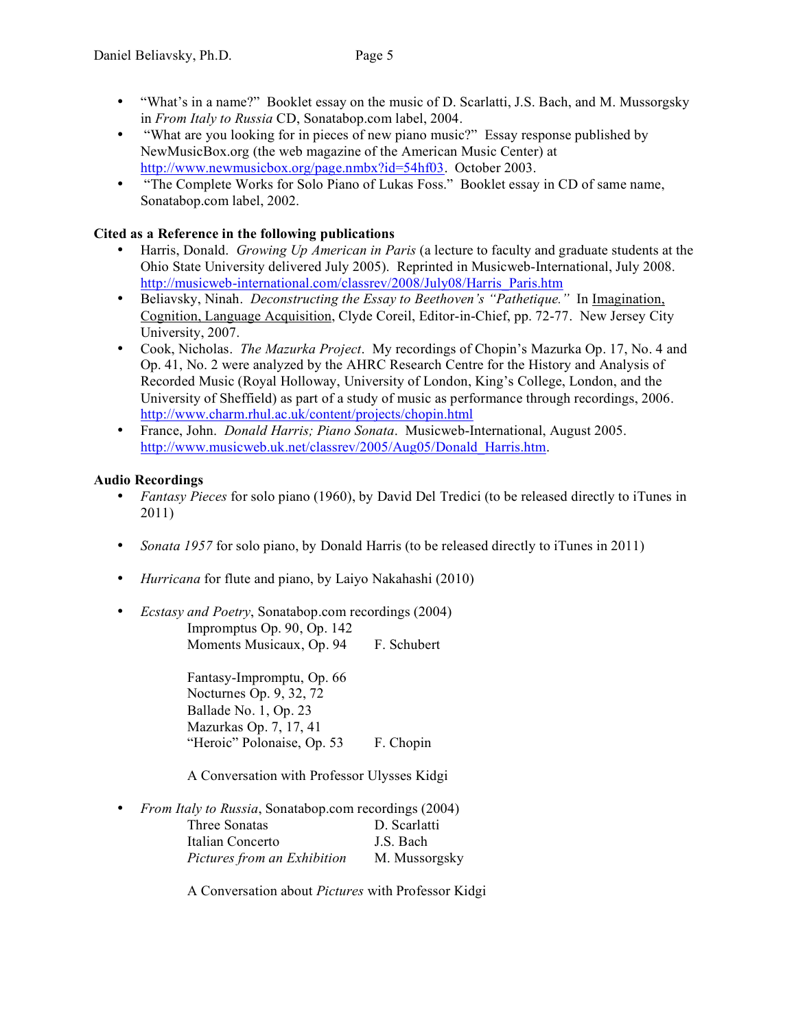- "What's in a name?" Booklet essay on the music of D. Scarlatti, J.S. Bach, and M. Mussorgsky in *From Italy to Russia* CD, Sonatabop.com label, 2004.
- "What are you looking for in pieces of new piano music?" Essay response published by NewMusicBox.org (the web magazine of the American Music Center) at http://www.newmusicbox.org/page.nmbx?id=54hf03. October 2003.
- "The Complete Works for Solo Piano of Lukas Foss." Booklet essay in CD of same name, Sonatabop.com label, 2002.

#### **Cited as a Reference in the following publications**

- Harris, Donald. *Growing Up American in Paris* (a lecture to faculty and graduate students at the Ohio State University delivered July 2005). Reprinted in Musicweb-International, July 2008. http://musicweb-international.com/classrev/2008/July08/Harris\_Paris.htm
- Beliavsky, Ninah. *Deconstructing the Essay to Beethoven's "Pathetique."* In Imagination, Cognition, Language Acquisition, Clyde Coreil, Editor-in-Chief, pp. 72-77. New Jersey City University, 2007.
- Cook, Nicholas. *The Mazurka Project*. My recordings of Chopin's Mazurka Op. 17, No. 4 and Op. 41, No. 2 were analyzed by the AHRC Research Centre for the History and Analysis of Recorded Music (Royal Holloway, University of London, King's College, London, and the University of Sheffield) as part of a study of music as performance through recordings, 2006. http://www.charm.rhul.ac.uk/content/projects/chopin.html
- France, John. *Donald Harris; Piano Sonata*. Musicweb-International, August 2005. http://www.musicweb.uk.net/classrev/2005/Aug05/Donald\_Harris.htm.

#### **Audio Recordings**

- *Fantasy Pieces* for solo piano (1960), by David Del Tredici (to be released directly to iTunes in 2011)
- *Sonata 1957* for solo piano, by Donald Harris (to be released directly to iTunes in 2011)
- *Hurricana* for flute and piano, by Laiyo Nakahashi (2010)
- *Ecstasy and Poetry*, Sonatabop.com recordings (2004) Impromptus Op. 90, Op. 142

Moments Musicaux, Op. 94 F. Schubert

Fantasy-Impromptu, Op. 66 Nocturnes Op. 9, 32, 72 Ballade No. 1, Op. 23 Mazurkas Op. 7, 17, 41 "Heroic" Polonaise, Op. 53 F. Chopin

A Conversation with Professor Ulysses Kidgi

• *From Italy to Russia*, Sonatabop.com recordings (2004)

| Three Sonatas               | D. Scarlatti  |
|-----------------------------|---------------|
| Italian Concerto            | J.S. Bach     |
| Pictures from an Exhibition | M. Mussorgsky |

A Conversation about *Pictures* with Professor Kidgi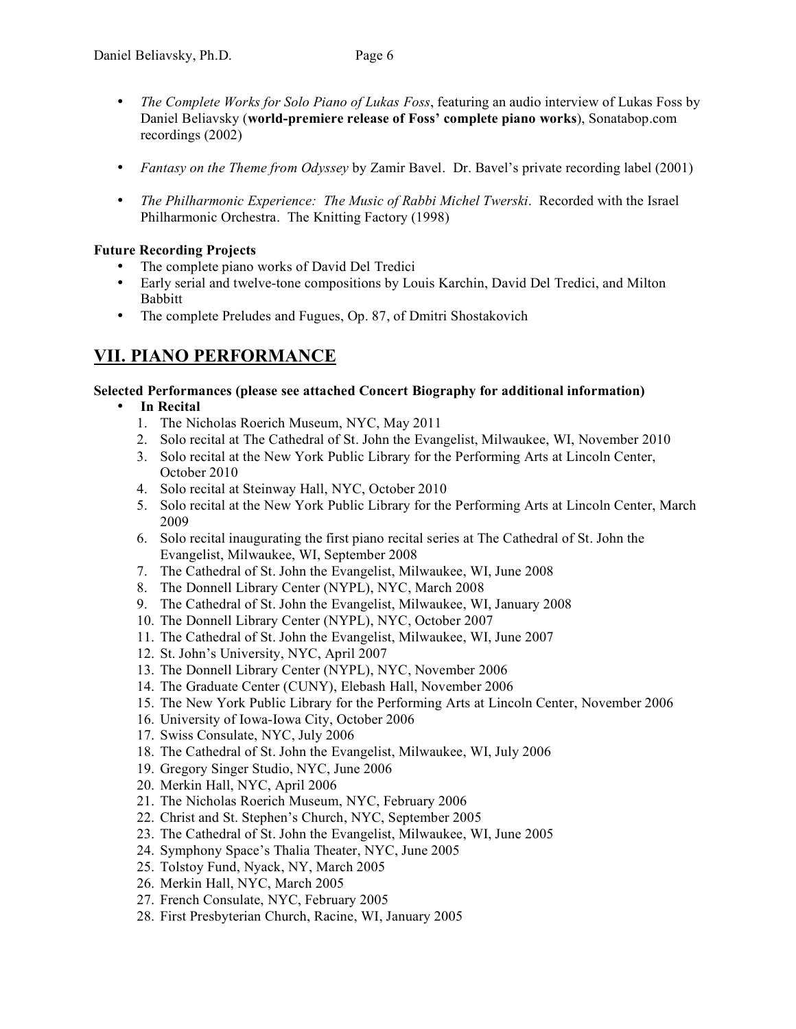- *The Complete Works for Solo Piano of Lukas Foss*, featuring an audio interview of Lukas Foss by Daniel Beliavsky (**world-premiere release of Foss' complete piano works**), Sonatabop.com recordings (2002)
- *Fantasy on the Theme from Odyssey* by Zamir Bavel. Dr. Bavel's private recording label (2001)
- *The Philharmonic Experience: The Music of Rabbi Michel Twerski*. Recorded with the Israel Philharmonic Orchestra. The Knitting Factory (1998)

#### **Future Recording Projects**

- The complete piano works of David Del Tredici
- Early serial and twelve-tone compositions by Louis Karchin, David Del Tredici, and Milton Babbitt
- The complete Preludes and Fugues, Op. 87, of Dmitri Shostakovich

### **VII. PIANO PERFORMANCE**

#### **Selected Performances (please see attached Concert Biography for additional information)**

- **In Recital**
	- 1. The Nicholas Roerich Museum, NYC, May 2011
	- 2. Solo recital at The Cathedral of St. John the Evangelist, Milwaukee, WI, November 2010
	- 3. Solo recital at the New York Public Library for the Performing Arts at Lincoln Center, October 2010
	- 4. Solo recital at Steinway Hall, NYC, October 2010
	- 5. Solo recital at the New York Public Library for the Performing Arts at Lincoln Center, March 2009
	- 6. Solo recital inaugurating the first piano recital series at The Cathedral of St. John the Evangelist, Milwaukee, WI, September 2008
	- 7. The Cathedral of St. John the Evangelist, Milwaukee, WI, June 2008
	- 8. The Donnell Library Center (NYPL), NYC, March 2008
	- 9. The Cathedral of St. John the Evangelist, Milwaukee, WI, January 2008
	- 10. The Donnell Library Center (NYPL), NYC, October 2007
	- 11. The Cathedral of St. John the Evangelist, Milwaukee, WI, June 2007
	- 12. St. John's University, NYC, April 2007
	- 13. The Donnell Library Center (NYPL), NYC, November 2006
	- 14. The Graduate Center (CUNY), Elebash Hall, November 2006
	- 15. The New York Public Library for the Performing Arts at Lincoln Center, November 2006
	- 16. University of Iowa-Iowa City, October 2006
	- 17. Swiss Consulate, NYC, July 2006
	- 18. The Cathedral of St. John the Evangelist, Milwaukee, WI, July 2006
	- 19. Gregory Singer Studio, NYC, June 2006
	- 20. Merkin Hall, NYC, April 2006
	- 21. The Nicholas Roerich Museum, NYC, February 2006
	- 22. Christ and St. Stephen's Church, NYC, September 2005
	- 23. The Cathedral of St. John the Evangelist, Milwaukee, WI, June 2005
	- 24. Symphony Space's Thalia Theater, NYC, June 2005
	- 25. Tolstoy Fund, Nyack, NY, March 2005
	- 26. Merkin Hall, NYC, March 2005
	- 27. French Consulate, NYC, February 2005
	- 28. First Presbyterian Church, Racine, WI, January 2005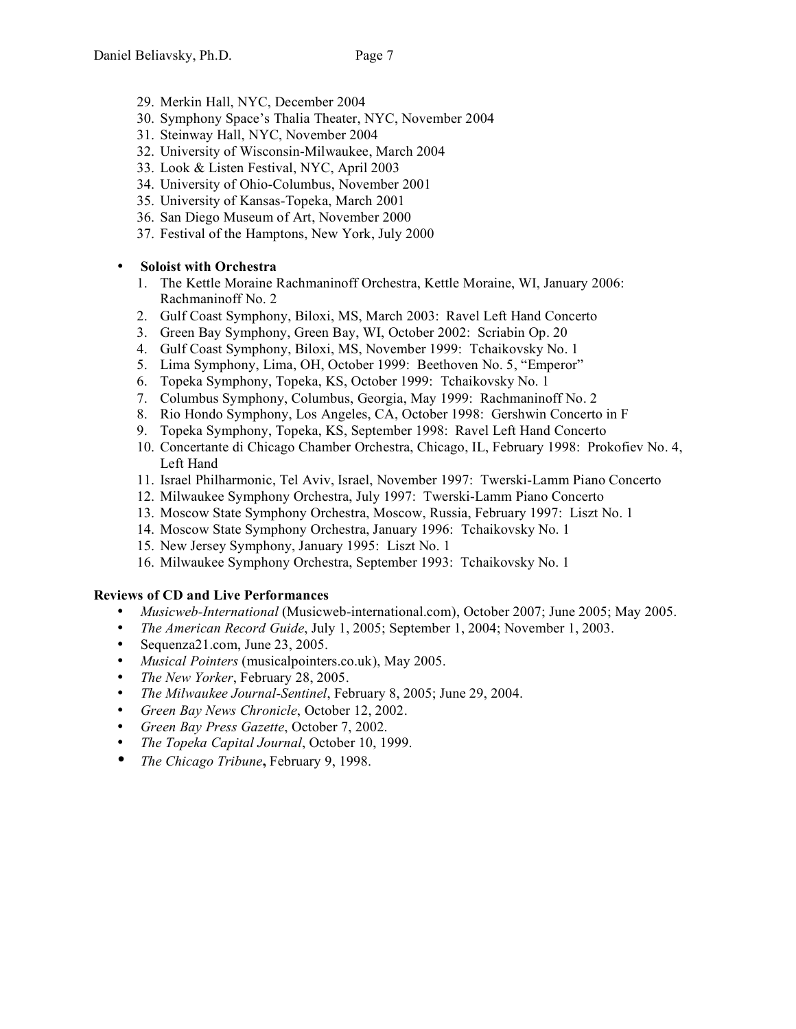- 29. Merkin Hall, NYC, December 2004
- 30. Symphony Space's Thalia Theater, NYC, November 2004
- 31. Steinway Hall, NYC, November 2004
- 32. University of Wisconsin-Milwaukee, March 2004
- 33. Look & Listen Festival, NYC, April 2003
- 34. University of Ohio-Columbus, November 2001
- 35. University of Kansas-Topeka, March 2001
- 36. San Diego Museum of Art, November 2000
- 37. Festival of the Hamptons, New York, July 2000

#### • **Soloist with Orchestra**

- 1. The Kettle Moraine Rachmaninoff Orchestra, Kettle Moraine, WI, January 2006: Rachmaninoff No. 2
- 2. Gulf Coast Symphony, Biloxi, MS, March 2003: Ravel Left Hand Concerto
- 3. Green Bay Symphony, Green Bay, WI, October 2002: Scriabin Op. 20
- 4. Gulf Coast Symphony, Biloxi, MS, November 1999: Tchaikovsky No. 1
- 5. Lima Symphony, Lima, OH, October 1999: Beethoven No. 5, "Emperor"
- 6. Topeka Symphony, Topeka, KS, October 1999: Tchaikovsky No. 1
- 7. Columbus Symphony, Columbus, Georgia, May 1999: Rachmaninoff No. 2
- 8. Rio Hondo Symphony, Los Angeles, CA, October 1998: Gershwin Concerto in F
- 9. Topeka Symphony, Topeka, KS, September 1998: Ravel Left Hand Concerto
- 10. Concertante di Chicago Chamber Orchestra, Chicago, IL, February 1998: Prokofiev No. 4, Left Hand
- 11. Israel Philharmonic, Tel Aviv, Israel, November 1997: Twerski-Lamm Piano Concerto
- 12. Milwaukee Symphony Orchestra, July 1997: Twerski-Lamm Piano Concerto
- 13. Moscow State Symphony Orchestra, Moscow, Russia, February 1997: Liszt No. 1
- 14. Moscow State Symphony Orchestra, January 1996: Tchaikovsky No. 1
- 15. New Jersey Symphony, January 1995: Liszt No. 1
- 16. Milwaukee Symphony Orchestra, September 1993: Tchaikovsky No. 1

#### **Reviews of CD and Live Performances**

- *Musicweb-International* (Musicweb-international.com), October 2007; June 2005; May 2005.
- *The American Record Guide*, July 1, 2005; September 1, 2004; November 1, 2003.
- Sequenza21.com, June 23, 2005.
- *Musical Pointers* (musicalpointers.co.uk), May 2005.
- *The New Yorker*, February 28, 2005.
- *The Milwaukee Journal-Sentinel*, February 8, 2005; June 29, 2004.
- *Green Bay News Chronicle*, October 12, 2002.
- *Green Bay Press Gazette*, October 7, 2002.
- *The Topeka Capital Journal*, October 10, 1999.
- *The Chicago Tribune***,** February 9, 1998.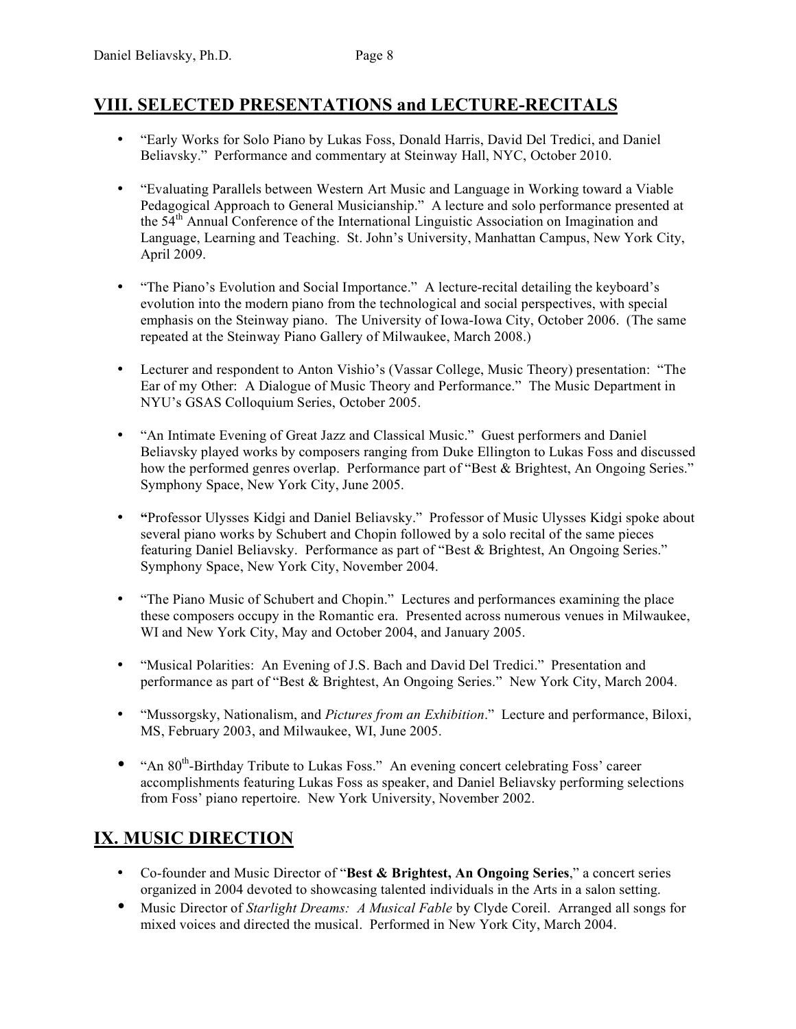### **VIII. SELECTED PRESENTATIONS and LECTURE-RECITALS**

- "Early Works for Solo Piano by Lukas Foss, Donald Harris, David Del Tredici, and Daniel Beliavsky." Performance and commentary at Steinway Hall, NYC, October 2010.
- "Evaluating Parallels between Western Art Music and Language in Working toward a Viable Pedagogical Approach to General Musicianship." A lecture and solo performance presented at the 54<sup>th</sup> Annual Conference of the International Linguistic Association on Imagination and Language, Learning and Teaching. St. John's University, Manhattan Campus, New York City, April 2009.
- "The Piano's Evolution and Social Importance." A lecture-recital detailing the keyboard's evolution into the modern piano from the technological and social perspectives, with special emphasis on the Steinway piano. The University of Iowa-Iowa City, October 2006. (The same repeated at the Steinway Piano Gallery of Milwaukee, March 2008.)
- Lecturer and respondent to Anton Vishio's (Vassar College, Music Theory) presentation: "The Ear of my Other: A Dialogue of Music Theory and Performance." The Music Department in NYU's GSAS Colloquium Series, October 2005.
- "An Intimate Evening of Great Jazz and Classical Music." Guest performers and Daniel Beliavsky played works by composers ranging from Duke Ellington to Lukas Foss and discussed how the performed genres overlap. Performance part of "Best & Brightest, An Ongoing Series." Symphony Space, New York City, June 2005.
- **"**Professor Ulysses Kidgi and Daniel Beliavsky." Professor of Music Ulysses Kidgi spoke about several piano works by Schubert and Chopin followed by a solo recital of the same pieces featuring Daniel Beliavsky. Performance as part of "Best & Brightest, An Ongoing Series." Symphony Space, New York City, November 2004.
- "The Piano Music of Schubert and Chopin." Lectures and performances examining the place these composers occupy in the Romantic era. Presented across numerous venues in Milwaukee, WI and New York City, May and October 2004, and January 2005.
- "Musical Polarities: An Evening of J.S. Bach and David Del Tredici." Presentation and performance as part of "Best & Brightest, An Ongoing Series." New York City, March 2004.
- "Mussorgsky, Nationalism, and *Pictures from an Exhibition*." Lecture and performance, Biloxi, MS, February 2003, and Milwaukee, WI, June 2005.
- "An  $80<sup>th</sup>$ -Birthday Tribute to Lukas Foss." An evening concert celebrating Foss' career accomplishments featuring Lukas Foss as speaker, and Daniel Beliavsky performing selections from Foss' piano repertoire. New York University, November 2002.

## **IX. MUSIC DIRECTION**

- Co-founder and Music Director of "**Best & Brightest, An Ongoing Series**," a concert series organized in 2004 devoted to showcasing talented individuals in the Arts in a salon setting.
- Music Director of *Starlight Dreams: A Musical Fable* by Clyde Coreil. Arranged all songs for mixed voices and directed the musical. Performed in New York City, March 2004.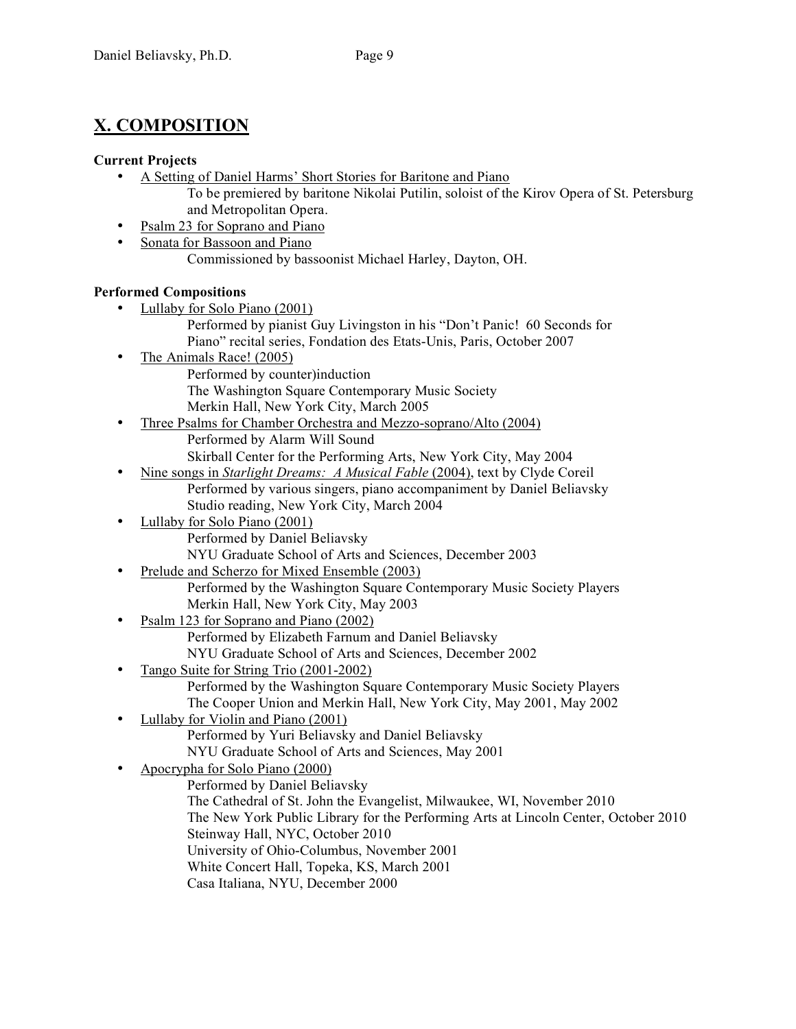# **X. COMPOSITION**

#### **Current Projects**

- A Setting of Daniel Harms' Short Stories for Baritone and Piano
	- To be premiered by baritone Nikolai Putilin, soloist of the Kirov Opera of St. Petersburg and Metropolitan Opera.
- Psalm 23 for Soprano and Piano
- Sonata for Bassoon and Piano Commissioned by bassoonist Michael Harley, Dayton, OH.

#### **Performed Compositions**

- Lullaby for Solo Piano (2001)
	- Performed by pianist Guy Livingston in his "Don't Panic! 60 Seconds for Piano" recital series, Fondation des Etats-Unis, Paris, October 2007
- The Animals Race! (2005) Performed by counter)induction The Washington Square Contemporary Music Society Merkin Hall, New York City, March 2005
- Three Psalms for Chamber Orchestra and Mezzo-soprano/Alto (2004) Performed by Alarm Will Sound Skirball Center for the Performing Arts, New York City, May 2004
- Nine songs in *Starlight Dreams: A Musical Fable* (2004), text by Clyde Coreil Performed by various singers, piano accompaniment by Daniel Beliavsky Studio reading, New York City, March 2004
- Lullaby for Solo Piano (2001) Performed by Daniel Beliavsky NYU Graduate School of Arts and Sciences, December 2003
- Prelude and Scherzo for Mixed Ensemble (2003) Performed by the Washington Square Contemporary Music Society Players Merkin Hall, New York City, May 2003
- Psalm 123 for Soprano and Piano (2002) Performed by Elizabeth Farnum and Daniel Beliavsky NYU Graduate School of Arts and Sciences, December 2002
- Tango Suite for String Trio (2001-2002) Performed by the Washington Square Contemporary Music Society Players The Cooper Union and Merkin Hall, New York City, May 2001, May 2002
- Lullaby for Violin and Piano (2001) Performed by Yuri Beliavsky and Daniel Beliavsky NYU Graduate School of Arts and Sciences, May 2001
- Apocrypha for Solo Piano (2000)

Performed by Daniel Beliavsky The Cathedral of St. John the Evangelist, Milwaukee, WI, November 2010 The New York Public Library for the Performing Arts at Lincoln Center, October 2010 Steinway Hall, NYC, October 2010 University of Ohio-Columbus, November 2001 White Concert Hall, Topeka, KS, March 2001 Casa Italiana, NYU, December 2000